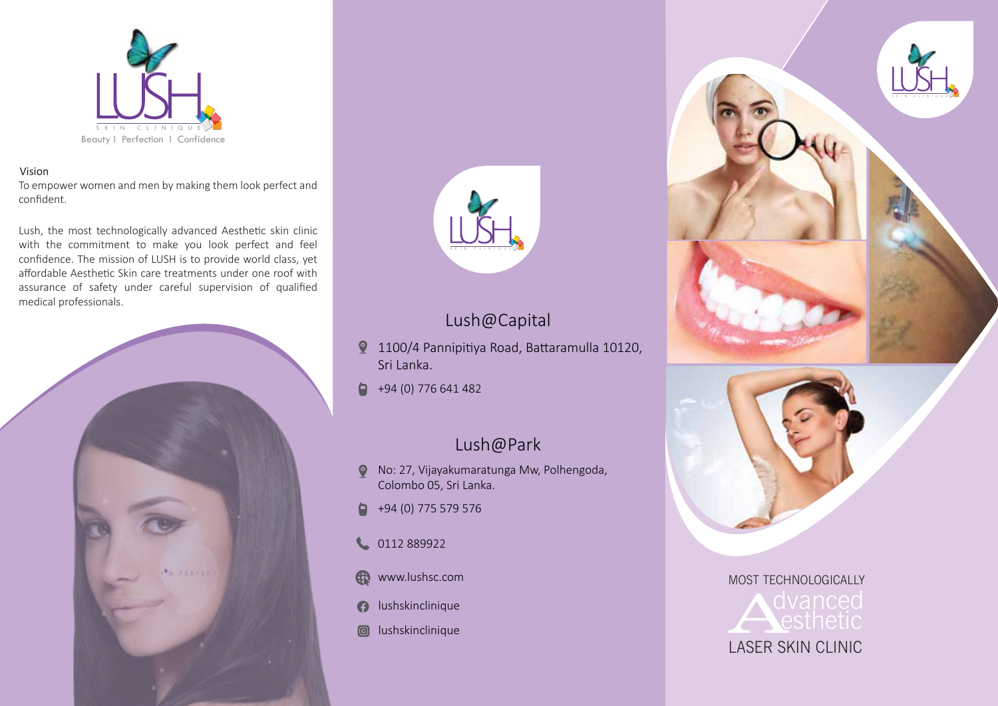

#### Vision

To empower women and men by making them look perfect and confident.

Lush, the most technologically advanced Aesthetic skin clinic with the commitment to make you look perfect and feel confidence. The mission of LUSH is to provide world class, yet affordable Aesthetic Skin care treatments under one roof with assurance of safety under careful supervision of qualified medical professionals.





## Lush@Capital

- 1100/4 Pannipitiya Road, Battaramulla 10120, Sri Lanka.
- $\blacksquare$ +94 (0) 776 641 482

#### Lush@Park

- No: 27, Vijayakumaratunga Mw, Polhengoda, Colombo 05, Sri Lanka.
- ۵ +94 (0) 775 579 576
- 1 0112 889922
- www.lushsc.com
- **a** lushskinclinique
- **a** lushskinclinique